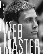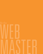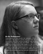# *Be the Webmaster*

Congratulations on being elected club webmaster. The role of webmaster is very important, and the work you do this year will help promote your club's activities through an online presence. Your main focus will be to create and maintain a club website, share club activities on social media, engage with your members online, and use online resources to recruit members. Every club is unique, so make your website fit your club's needs. Meet with your advisor and other officers to determine additional respon-Frame promote your clubs activities through an omine presence.<br>Your main focus will be to create and maintain a club website,<br>share club activities on social media, engage with your members<br>online, and use online resources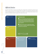## *Official duties*

Your Key Club will be as strong as your officer team, and that team is designed to empower each officer to carry out his or her own duties. When your officers work with one another, the team's success will take precedence over individual success. Below is a list of official duties related to your position, but feel free to add to it based on the needs of your club.

**Create** a club website. **In the IMPORTANT NOTES** 

**Maintain** accurate and up-

**1** Each club will decide which duties will be the **webmaster's and which duties will be the editor's. The two positions should work together to ensure the club's message and activities are shared with a diverse audience.** 

2 **Refer to your school or organization policies or rules prior to creating a website and social media accounts for your Key Club.** 

# **KEY CLUB**

**Share** your club's activities on social media.

Help recruit members by

**Engage** with members through web-based outlets.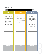# *Checklists*

| $191 = 1111$                                                                                                                                                                                                                     |  |
|----------------------------------------------------------------------------------------------------------------------------------------------------------------------------------------------------------------------------------|--|
| weekly                                                                                                                                                                                                                           |  |
| FOLLOW EVENTS UP WITH POSTS.<br>UPDATE CALENDAR ON WEBSITE.<br>PLAN WEEK'S SOCIAL MEDIA<br>POSTS.<br>FOLLOW UP ON POSTS<br>OR OUTREACH THAT NEED<br>ATTENTION.<br>POST AGENDAS AND MINUTES<br>TO WEBSITE.<br><b>NOTE TO SELF</b> |  |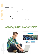# *Be the Creator*

Websites serve as member resources, as well as tools to inform the public of the great work a club is doing. A website even can become a great recruitment resource. Effective websites contain calendars, meeting agendas, past meeting agendas, newsletters, photo galleries and a place for other students to connect with your club. Websites can take many forms and contain many design elements. There are a few ways to create websites. Not a single one of the following programs is best for all cases, but you'll find some options to start with. Choose whichever is best for you and your club.

**• Web-based programs** offer many options for website design and do not require coding knowledge or experience.

Wix / Weebly / Squarespace

**• Software programs** require more work and provide more freedom for you to create your website. You will have more control, but using software requires the ability to write code to use the programs effectively.

Dreamweaver / FrontPage

### The website should be designed to help people who missed meetings. Therefore, you can't miss the meetings yourself! Keep in touch with the president and secretary.

**JULIAN PHILIPIE, CALIFORNIA-NEVADA-HAWAII DISTRICT, CLUB WEBMASTER**

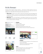### *Be the Manager*

Facebook, Twitter, Instagram, Pinterest, Snapchat … the list goes on. Today's students are more connected than ever, and they are getting more information from these social media sources than from traditional news outlets. Below are some tips about social media and its use.

- **When to post** Make sure your content is timely. Don't post about events that happened two months prior. However, it can be fun to post about events that happened the year before. For example, if your club is promoting your annual haunted house, post pictures of last year's event to get people excited.
- **• What to post** Each social media platform is a little different regarding what is best to post. Below are some tips for Facebook, Twitter and Instagram. For more ideas on general content, refer to your Key Club weekly email sent on Mondays.





### **Facebook**

*Highlight members Create events and invite friends Share photos, text and video Create a private group for board members to talk DON'T share irrelevant information that doesn't benefit the club*







### **Instagram**

*Post meeting and event reminders in a fun and attractive way Use your club's hashtag Showcase your members and service projects DON'T post "questionable" photos*

#### **Twitter**

*Create a hashtag specific to your club for members to use Share event reminders, as they can be retweeted Connect directly with members DON'T tweet about inside jokes*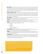- **• Who to follow** It's really up to you to decide who your account follows. Try not to let the number of people you follow heavily outweigh the number of followers you have because that might indicate to potential followers that you aren't worth following. When following people, engage with content that is relevant to Key Club. Don't randomly like pictures of Joe's cat. That's creepy. (Unless the cat is at a shelter where Key Club is volunteering.)
- **Public vs. private accounts** Your club always has the option to make your Twitter or Instagram accounts private, but unless your school has certain rules about club accounts, it's best if they are kept public. When your accounts are public, it allows more people to see the amazing projects you are working on. However, if you have accounts for your officers to keep in touch with each other it's best for them to use a private group.
- **• Photo releases** It is best to have your members' parents sign a photo release once a year. You can find a generic Kiwanis photo release at kiwanis.org/photorelease.
- **Grammar** Use proper grammar, spelling and punctuation when possible. Twitter is the only place where it is more acceptable to make exceptions when trying to fit a lot in one tweet.
- **• Venting** Do not use social media as a place to call out members or to complain about an event. Always post positive messages. Remember to T.H.I.N.K.
	- T truthful H – helpful I – inspiring
	- N nice or necessary
	- K kind or Key Club related
- **Announcements** Although social media is immediate, do not rely on it for important announcements. It can be a supplemental tool, but cannot replace all other channels.
- **Tagging** Social media works through connections and relationships. When possible, tag the people in photos, the organizations being served, your school, and anyone else connected to the post so they can share the information.
- **•• Schedule posts** Many social media sites or host sites, like Hootsuite, will allow you to schedule posts in advance. Using these services can allow you to post even when you personally may not be available to post. Be aware of the content you are scheduling in case something happens that no longer makes those posts applicable or appropriate.

### **Guidelines for social media responses :**

*Be cautious when responding to controversial posts. Don't respond when someone has made an angry post or inappropriate comment about Key Club or a member of your club. Give thoughtful consideration to responding to negative posts based on incorrect information and to posts expressing general unhappiness. Also be sure to talk with your advisor about them.*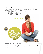### **Key Club campaigns**

Get your club involved in Key Club International social media campaigns. By using the following hashtags, you'll be able to see what Key Clubs around the world are doing and you might inspire other clubs by posting the projects your club is working on.

Kiwanis One Day *(October)* Trick-or-Treat for UNICEF *(October)* Key Club Week *(First full week of November)*

### #KiwanisOneDay



## *Be the Brand Advocate*

In all of your communications activities, follow the Key Club Brand Guide (*keyclub.org/brandguide*). A brief guide can be found on the next page. That's where you'll find important guidelines, established with the help of experts and designers, for using specific fonts, colors and other visual elements. You'll help unify Key Club International under one look, keeping it recognizable around the world. Doing so helps make your club recognizable. All of your club members—including fellow officers—should be familiar with these standards. Share the information and provide guidance where you can!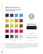# *Official brand assets*

**Download the complete Key Club Brand Guide at keyclub.org/brandguide.**



In publications and presentations, an optional display font can be used for text such as pull quotes and title slides. Remember, display fonts work best when they're not overused. (Rule of thumb: no more than about 10% of the entire copy.) Our suggested display font, Abril Display Extra Bold, is shown in the Key Club Brand Guide. However, using a display font that's not in the brand guide will not result in point deduction for anyone applying for a distinguished officer award.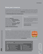### *Know your resources*

Key Club International wants to help you succeed—so we're providing as many resources as possible. Listed below are just a few you might consider as your executive board brainstorms ways to support and build your club. You can find more resources at **keyclub.org** or through the weekly Key Club email. Not receiving the weekly email? Have your club advisor or secretary update your email address in the **Membership Update Center at keyclub.org/muc.** Be the Webmaster<br>ple.<br>ail.<br>in<br>to<br>the whom defines to<br>and

### Service ideas

Idealist.org – **idealist.org** Volunteer Match – **volunteermatch.org** Hands on Network – **handsonnetwork.org** Youth Serve America – **ysa.org** National Youth Leadership Council – **nylc.org** Project Happiness – **projecthappiness.org** Volunteer Canada – **volunteer.ca** Canadian Volunteer Directory – **canadian-universities.net/Volunteer**

### Partners

Did you know Key Club International has preferred charities and partnerships that can offer you great opportunities for service to your community or abroad?

For more information on partnerships and preferred charities visit: **keyclub.org/partners**

### Key Leader

Key Leader is a weekend experiential leadership program for today's you leaders. It focuses on service leadership as the first, most meaningful leadershipped development experience. By participation in a hands-on, weekend event, k Leaders learn that leadership comes from helping others succeed. The progra is designed to identify and empower emerging student leaders and move the beyond where most other leadership programs end. Thousands of students four continents have and will become Key Leaders. Learn more about Key Lead and what programs are happening in your area at **key-leader.org.**

#### **Key Club acronyms:**

*Below is a list of our most commonly used acronyms.*

- AAR —Annual Achievement Report
- CKI —Circle K International
- CMN —Children's Miracle Network
- **DCON** District Convention
- **ICON** International Convention
- IP —Immediate Past
- **KCI** Key Club International
- LTG —Lieutenant Governor
- **OTC** Officer Training Conference
- YOF —Youth Opportunities Fund